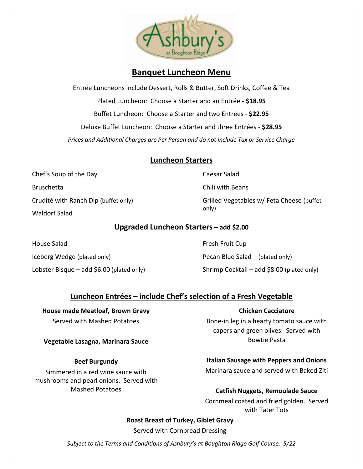

# **Banquet Luncheon Menu**

Entrée Luncheons include Dessert, Rolls & Butter, Soft Drinks, Coffee & Tea Plated Luncheon: Choose a Starter and an Entrée - **\$18.95** Buffet Luncheon: Choose a Starter and two Entrées - **\$22.95** Deluxe Buffet Luncheon: Choose a Starter and three Entrées - **\$28.95** *Prices and Additional Charges are Per Person and do not include Tax or Service Charge*

## **Luncheon Starters**

Chef's Soup of the Day Bruschetta Crudité with Ranch Dip (buffet only) Waldorf Salad

Caesar Salad

Chili with Beans

Grilled Vegetables w/ Feta Cheese (buffet only)

## **Upgraded Luncheon Starters – add \$2.00**

House Salad Iceberg Wedge (plated only) Lobster Bisque – add \$6.00 (plated only) Fresh Fruit Cup Pecan Blue Salad – (plated only) Shrimp Cocktail – add \$8.00 (plated only)

## **Luncheon Entrées – include Chef's selection of a Fresh Vegetable**

**House made Meatloaf, Brown Gravy** Served with Mashed Potatoes

#### **Vegetable Lasagna, Marinara Sauce**

#### **Beef Burgundy**

Simmered in a red wine sauce with mushrooms and pearl onions. Served with Mashed Potatoes

#### **Chicken Cacciatore**

Bone-in leg in a hearty tomato sauce with capers and green olives. Served with Bowtie Pasta

## **Italian Sausage with Peppers and Onions**

Marinara sauce and served with Baked Ziti

#### **Catfish Nuggets, Remoulade Sauce**

Cornmeal coated and fried golden. Served with Tater Tots

#### **Roast Breast of Turkey, Giblet Gravy**

Served with Cornbread Dressing

*Subject to the Terms and Conditions of Ashbury's at Boughton Ridge Golf Course. 5/22*